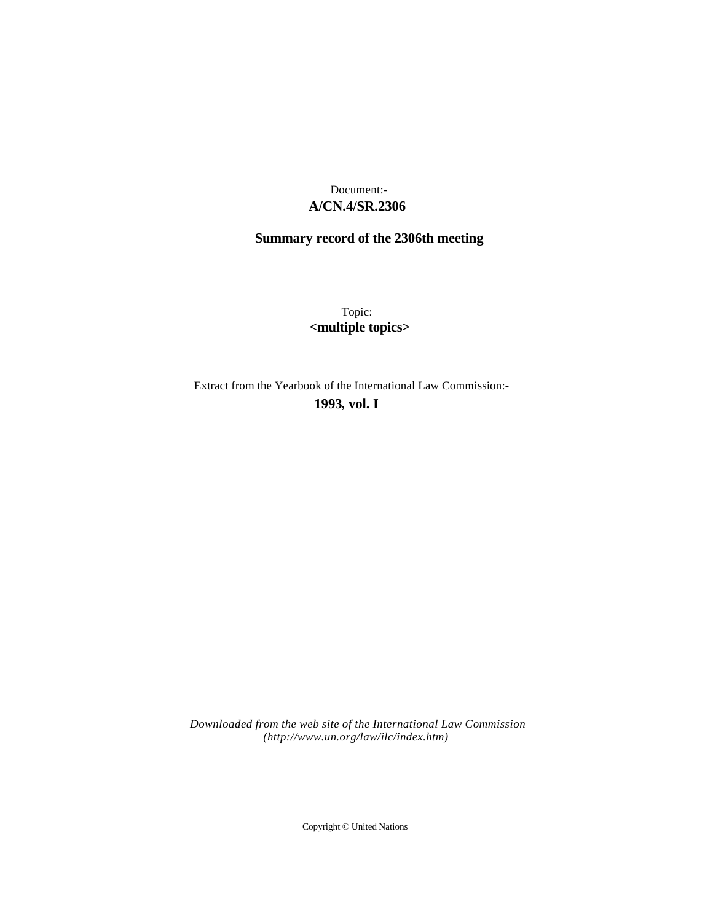# **A/CN.4/SR.2306** Document:-

# **Summary record of the 2306th meeting**

Topic: **<multiple topics>**

Extract from the Yearbook of the International Law Commission:-

# **1993** , **vol. I**

*Downloaded from the web site of the International Law Commission (http://www.un.org/law/ilc/index.htm)*

Copyright © United Nations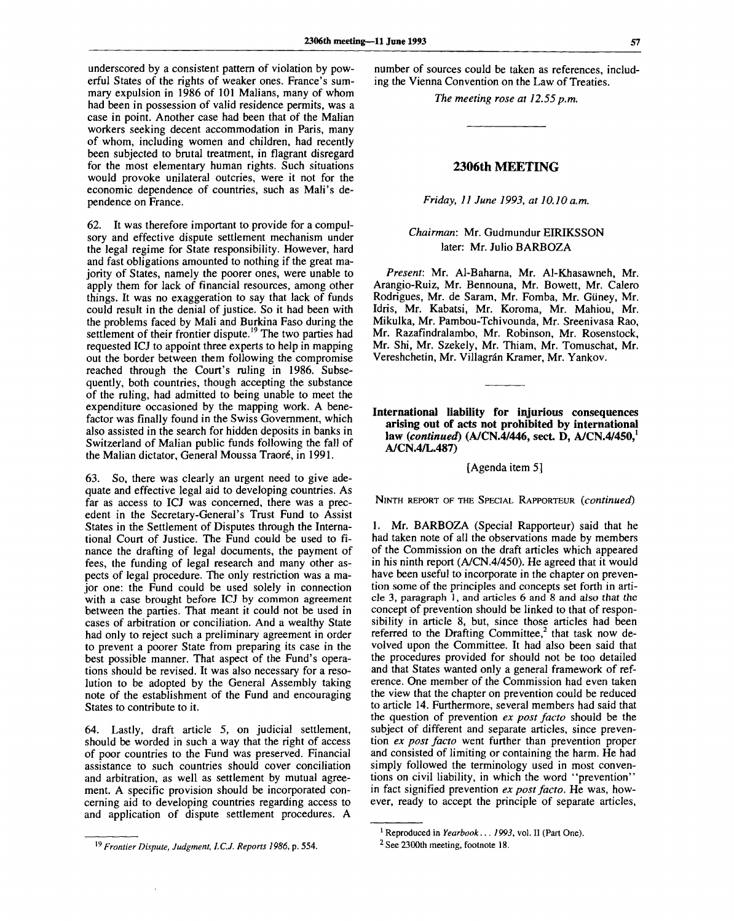underscored by a consistent pattern of violation by powerful States of the rights of weaker ones. France's summary expulsion in 1986 of 101 Malians, many of whom had been in possession of valid residence permits, was a case in point. Another case had been that of the Malian workers seeking decent accommodation in Paris, many of whom, including women and children, had recently been subjected to brutal treatment, in flagrant disregard for the most elementary human rights. Such situations would provoke unilateral outcries, were it not for the economic dependence of countries, such as Mali's dependence on France.

62. It was therefore important to provide for a compulsory and effective dispute settlement mechanism under the legal regime for State responsibility. However, hard and fast obligations amounted to nothing if the great majority of States, namely the poorer ones, were unable to apply them for lack of financial resources, among other things. It was no exaggeration to say that lack of funds could result in the denial of justice. So it had been with the problems faced by Mali and Burkina Faso during the settlement of their frontier dispute.<sup>19</sup> The two parties had requested ICJ to appoint three experts to help in mapping out the border between them following the compromise reached through the Court's ruling in 1986. Subsequently, both countries, though accepting the substance of the ruling, had admitted to being unable to meet the expenditure occasioned by the mapping work. A benefactor was finally found in the Swiss Government, which also assisted in the search for hidden deposits in banks in Switzerland of Malian public funds following the fall of the Malian dictator, General Moussa Traore, in 1991.

63. So, there was clearly an urgent need to give adequate and effective legal aid to developing countries. As far as access to ICJ was concerned, there was a precedent in the Secretary-General's Trust Fund to Assist States in the Settlement of Disputes through the International Court of Justice. The Fund could be used to finance the drafting of legal documents, the payment of fees, the funding of legal research and many other aspects of legal procedure. The only restriction was a major one: the Fund could be used solely in connection with a case brought before ICJ by common agreement between the parties. That meant it could not be used in cases of arbitration or conciliation. And a wealthy State had only to reject such a preliminary agreement in order to prevent a poorer State from preparing its case in the best possible manner. That aspect of the Fund's operations should be revised. It was also necessary for a resolution to be adopted by the General Assembly taking note of the establishment of the Fund and encouraging States to contribute to it.

64. Lastly, draft article 5, on judicial settlement, should be worded in such a way that the right of access of poor countries to the Fund was preserved. Financial assistance to such countries should cover conciliation and arbitration, as well as settlement by mutual agreement. A specific provision should be incorporated concerning aid to developing countries regarding access to and application of dispute settlement procedures. A

number of sources could be taken as references, including the Vienna Convention on the Law of Treaties.

*The meeting rose at 12.55p.m.*

## **2306th MEETING**

#### *Friday, 11 June 1993, at 10.10 a.m.*

# *Chairman:* Mr. Gudmundur EIRIKSSON later: Mr. Julio BARBOZA

*Present:* Mr. Al-Baharna, Mr. Al-Khasawneh, Mr. Arangio-Ruiz, Mr. Bennouna, Mr. Bowett, Mr. Calero Rodrigues, Mr. de Saram, Mr. Fomba, Mr. Giiney, Mr. Idris, Mr. Kabatsi, Mr. Koroma, Mr. Mahiou, Mr. Mikulka, Mr. Pambou-Tchivounda, Mr. Sreenivasa Rao, Mr. Razafindralambo, Mr. Robinson, Mr. Rosenstock, Mr. Shi, Mr. Szekely, Mr. Thiam, Mr. Tomuschat, Mr. Vereshchetin, Mr. Villagrán Kramer, Mr. Yankov.

**International liability for injurious consequences arising out of acts not prohibited by international law** *(continued)* **(A/CN.4/446, sect. D, A/CN.4/450,<sup>1</sup> A/CN.4/L.487)**

## [Agenda item 5]

NINTH REPORT OF THE SPECIAL RAPPORTEUR *(continued)*

1. Mr. BARBOZA (Special Rapporteur) said that he had taken note of all the observations made by members of the Commission on the draft articles which appeared in his ninth report (A/CN.4/450). He agreed that it would have been useful to incorporate in the chapter on prevention some of the principles and concepts set forth in article 3, paragraph 1, and articles 6 and 8 and also *that the* concept of prevention should be linked to that of responsibility in article 8, but, since those articles had been referred to the Drafting Committee,<sup>2</sup> that task now devolved upon the Committee. It had also been said that the procedures provided for should not be too detailed and that States wanted only a general framework of reference. One member of the Commission had even taken the view that the chapter on prevention could be reduced to article 14. Furthermore, several members had said that the question of prevention *ex post facto* should be the subject of different and separate articles, since prevention *ex post facto* went further than prevention proper and consisted of limiting or containing the harm. He had simply followed the terminology used in most conventions on civil liability, in which the word "prevention" in fact signified prevention *ex post facto.* He was, however, ready to accept the principle of separate articles,

<sup>19</sup>  *Frontier Dispute, Judgment, ICJ. Reports 1986,* p. 554.

<sup>1</sup> Reproduced in *Yearbook... 1993,* vol. II (Part One).

<sup>&</sup>lt;sup>2</sup> See 2300th meeting, footnote 18.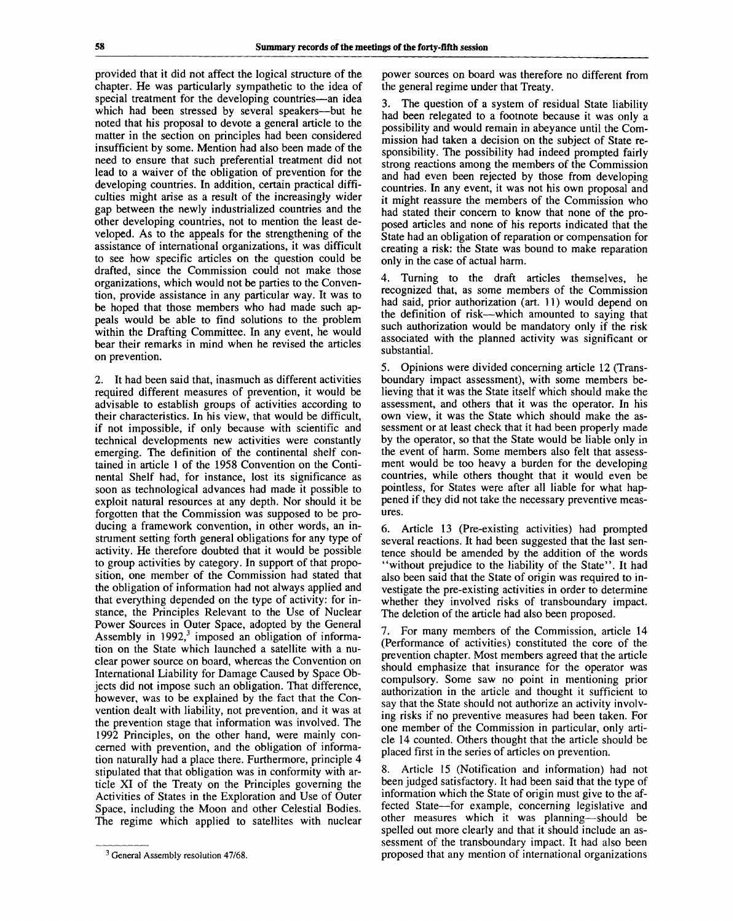provided that it did not affect the logical structure of the chapter. He was particularly sympathetic to the idea of special treatment for the developing countries—an idea which had been stressed by several speakers—but he noted that his proposal to devote a general article to the matter in the section on principles had been considered insufficient by some. Mention had also been made of the need to ensure that such preferential treatment did not lead to a waiver of the obligation of prevention for the developing countries. In addition, certain practical difficulties might arise as a result of the increasingly wider gap between the newly industrialized countries and the other developing countries, not to mention the least developed. As to the appeals for the strengthening of the assistance of international organizations, it was difficult to see how specific articles on the question could be drafted, since the Commission could not make those organizations, which would not be parties to the Convention, provide assistance in any particular way. It was to be hoped that those members who had made such appeals would be able to find solutions to the problem within the Drafting Committee. In any event, he would bear their remarks in mind when he revised the articles on prevention.

2. It had been said that, inasmuch as different activities required different measures of prevention, it would be advisable to establish groups of activities according to their characteristics. In his view, that would be difficult, if not impossible, if only because with scientific and technical developments new activities were constantly emerging. The definition of the continental shelf contained in article 1 of the 1958 Convention on the Continental Shelf had, for instance, lost its significance as soon as technological advances had made it possible to exploit natural resources at any depth. Nor should it be forgotten that the Commission was supposed to be producing a framework convention, in other words, an instrument setting forth general obligations for any type of activity. He therefore doubted that it would be possible to group activities by category. In support of that proposition, one member of the Commission had stated that the obligation of information had not always applied and that everything depended on the type of activity: for instance, the Principles Relevant to the Use of Nuclear Power Sources in Outer Space, adopted by the General Assembly in  $1992<sup>3</sup>$  imposed an obligation of information on the State which launched a satellite with a nuclear power source on board, whereas the Convention on International Liability for Damage Caused by Space Objects did not impose such an obligation. That difference, however, was to be explained by the fact that the Convention dealt with liability, not prevention, and it was at the prevention stage that information was involved. The 1992 Principles, on the other hand, were mainly concerned with prevention, and the obligation of information naturally had a place there. Furthermore, principle 4 stipulated that that obligation was in conformity with article XI of the Treaty on the Principles governing the Activities of States in the Exploration and Use of Outer Space, including the Moon and other Celestial Bodies. The regime which applied to satellites with nuclear power sources on board was therefore no different from the general regime under that Treaty.

3. The question of a system of residual State liability had been relegated to a footnote because it was only a possibility and would remain in abeyance until the Commission had taken a decision on the subject of State responsibility. The possibility had indeed prompted fairly strong reactions among the members of the Commission and had even been rejected by those from developing countries. In any event, it was not his own proposal and it might reassure the members of the Commission who had stated their concern to know that none of the proposed articles and none of his reports indicated that the State had an obligation of reparation or compensation for creating a risk: the State was bound to make reparation only in the case of actual harm.

4. Turning to the draft articles themselves, he recognized that, as some members of the Commission had said, prior authorization (art. 11) would depend on the definition of risk—which amounted to saying that such authorization would be mandatory only if the risk associated with the planned activity was significant or substantial.

5. Opinions were divided concerning article 12 (Transboundary impact assessment), with some members believing that it was the State itself which should make the assessment, and others that it was the operator. In his own view, it was the State which should make the assessment or at least check that it had been properly made by the operator, so that the State would be liable only in the event of harm. Some members also felt that assessment would be too heavy a burden for the developing countries, while others thought that it would even be pointless, for States were after all liable for what happened if they did not take the necessary preventive measures.

6. Article 13 (Pre-existing activities) had prompted several reactions. It had been suggested that the last sentence should be amended by the addition of the words "without prejudice to the liability of the State". It had also been said that the State of origin was required to investigate the pre-existing activities in order to determine whether they involved risks of transboundary impact. The deletion of the article had also been proposed.

7. For many members of the Commission, article 14 (Performance of activities) constituted the core of the prevention chapter. Most members agreed that the article should emphasize that insurance for the operator was compulsory. Some saw no point in mentioning prior authorization in the article and thought it sufficient to say that the State should not authorize an activity involving risks if no preventive measures had been taken. For one member of the Commission in particular, only article 14 counted. Others thought that the article should be placed first in the series of articles on prevention.

8. Article 15 (Notification and information) had not been judged satisfactory. It had been said that the type of information which the State of origin must give to the affected State—for example, concerning legislative and other measures which it was planning—should be spelled out more clearly and that it should include an assessment of the transboundary impact. It had also been proposed that any mention of international organizations

<sup>&</sup>lt;sup>3</sup> General Assembly resolution 47/68.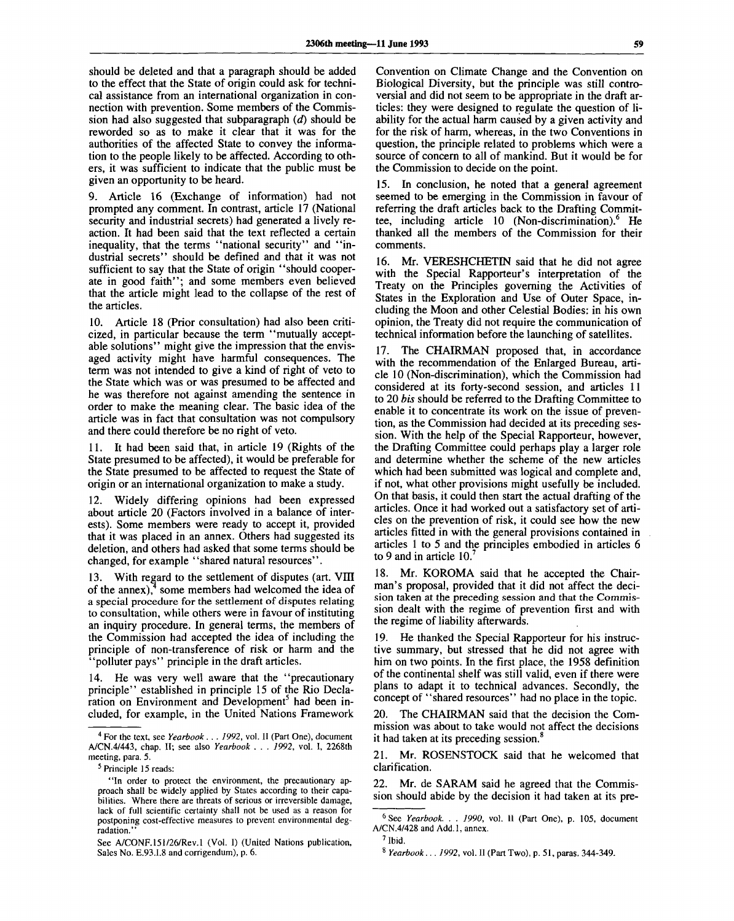should be deleted and that a paragraph should be added to the effect that the State of origin could ask for technical assistance from an international organization in connection with prevention. Some members of the Commission had also suggested that subparagraph *(d)* should be reworded so as to make it clear that it was for the authorities of the affected State to convey the information to the people likely to be affected. According to others, it was sufficient to indicate that the public must be given an opportunity to be heard.

9. Article 16 (Exchange of information) had not prompted any comment. In contrast, article 17 (National security and industrial secrets) had generated a lively reaction. It had been said that the text reflected a certain inequality, that the terms "national security" and "industrial secrets" should be defined and that it was not sufficient to say that the State of origin "should cooperate in good faith"; and some members even believed that the article might lead to the collapse of the rest of the articles.

10. Article 18 (Prior consultation) had also been criticized, in particular because the term "mutually acceptable solutions" might give the impression that the envisaged activity might have harmful consequences. The term was not intended to give a kind of right of veto to the State which was or was presumed to be affected and he was therefore not against amending the sentence in order to make the meaning clear. The basic idea of the article was in fact that consultation was not compulsory and there could therefore be no right of veto.

11. It had been said that, in article 19 (Rights of the State presumed to be affected), it would be preferable for the State presumed to be affected to request the State of origin or an international organization to make a study.

12. Widely differing opinions had been expressed about article 20 (Factors involved in a balance of interests). Some members were ready to accept it, provided that it was placed in an annex. Others had suggested its deletion, and others had asked that some terms should be changed, for example "shared natural resources".

13. With regard to the settlement of disputes (art. VIII of the annex),<sup>4</sup> some members had welcomed the idea of a special procedure for the settlement of disputes relating to consultation, while others were in favour of instituting an inquiry procedure. In general terms, the members of the Commission had accepted the idea of including the principle of non-transference of risk or harm and the "polluter pays" principle in the draft articles.

14. He was very well aware that the "precautionary principle" established in principle 15 of the Rio Declaration on Environment and Development<sup>5</sup> had been included, for example, in the United Nations Framework

Convention on Climate Change and the Convention on Biological Diversity, but the principle was still controversial and did not seem to be appropriate in the draft articles: they were designed to regulate the question of liability for the actual harm caused by a given activity and for the risk of harm, whereas, in the two Conventions in question, the principle related to problems which were a source of concern to all of mankind. But it would be for the Commission to decide on the point.

15. In conclusion, he noted that a general agreement seemed to be emerging in the Commission in favour of referring the draft articles back to the Drafting Committee, including article 10 (Non-discrimination).<sup>6</sup> ' He thanked all the members of the Commission for their comments.

16. Mr. VERESHCHETIN said that he did not agree with the Special Rapporteur's interpretation of the Treaty on the Principles governing the Activities of States in the Exploration and Use of Outer Space, including the Moon and other Celestial Bodies: in his own opinion, the Treaty did not require the communication of technical information before the launching of satellites.

17. The CHAIRMAN proposed that, in accordance with the recommendation of the Enlarged Bureau, article 10 (Non-discrimination), which the Commission had considered at its forty-second session, and articles 11 to 20 *bis* should be referred to the Drafting Committee to enable it to concentrate its work on the issue of prevention, as the Commission had decided at its preceding session. With the help of the Special Rapporteur, however, the Drafting Committee could perhaps play a larger role and determine whether the scheme of the new articles which had been submitted was logical and complete and, if not, what other provisions might usefully be included. On that basis, it could then start the actual drafting of the articles. Once it had worked out a satisfactory set of articles on the prevention of risk, it could see how the new articles fitted in with the general provisions contained in articles 1 to 5 and the principles embodied in articles 6 to 9 and in article  $10.'$ 

18. Mr. KOROMA said that he accepted the Chairman's proposal, provided that it did not affect the decision taken at the preceding session and that the Commission dealt with the regime of prevention first and with the regime of liability afterwards.

He thanked the Special Rapporteur for his instructive summary, but stressed that he did not agree with him on two points. In the first place, the 1958 definition of the continental shelf was still valid, even if there were plans to adapt it to technical advances. Secondly, the concept of "shared resources" had no place in the topic.

20. The CHAIRMAN said that the decision the Commission was about to take would not affect the decisions it had taken at its preceding session.<sup>8</sup>

21. Mr. ROSENSTOCK said that he welcomed that clarification.

22. Mr. de SARAM said he agreed that the Commission should abide by the decision it had taken at its pre-

<sup>4</sup> For the text, see *Yearbook . . . 1992,* vol. II (Part One), document A/CN.4/443, chap. II; see also *Yearbook . . . 1992,* vol. I, 2268th meeting, para. 5.

<sup>5</sup> Principle 15 reads:

<sup>&</sup>quot;In order to protect the environment, the precautionary approach shall be widely applied by States according to their capabilities. Where there are threats of serious or irreversible damage, lack of full scientific certainty shall not be used as a reason for postponing cost-effective measures to prevent environmental degradation."

See A/CONF.151/26/Rev.1 (Vol. I) (United Nations publication, Sales No. E.93.I.8 and corrigendum), p. 6.

<sup>6</sup> See *Yearbook. . . 1990,* vol. II (Part One), p. 105, document A/CN.4/428 and Add.l, annex.

<sup>7</sup> Ibid.

<sup>8</sup>  *Yearbook... 1992,* vol. II (Part Two), p. 51, paras. 344-349.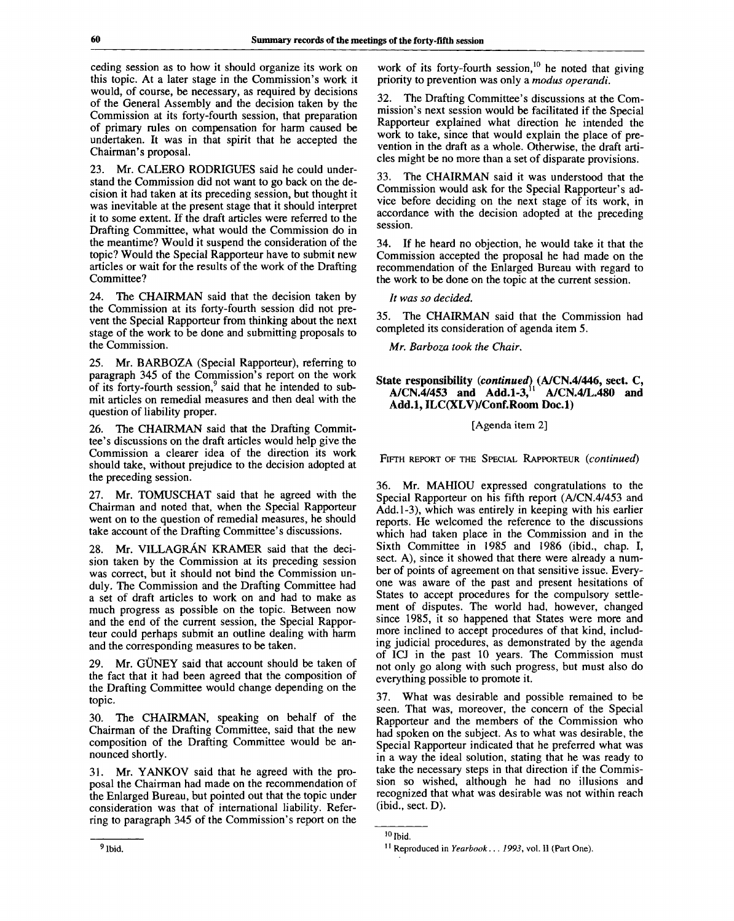ceding session as to how it should organize its work on this topic. At a later stage in the Commission's work it would, of course, be necessary, as required by decisions of the General Assembly and the decision taken by the Commission at its forty-fourth session, that preparation of primary rules on compensation for harm caused be undertaken. It was in that spirit that he accepted the Chairman's proposal.

23. Mr. CALERO RODRIGUES said he could understand the Commission did not want to go back on the decision it had taken at its preceding session, but thought it was inevitable at the present stage that it should interpret it to some extent. If the draft articles were referred to the Drafting Committee, what would the Commission do in the meantime? Would it suspend the consideration of the topic? Would the Special Rapporteur have to submit new articles or wait for the results of the work of the Drafting Committee?

24. The CHAIRMAN said that the decision taken by the Commission at its forty-fourth session did not prevent the Special Rapporteur from thinking about the next stage of the work to be done and submitting proposals to the Commission.

25. Mr. BARBOZA (Special Rapporteur), referring to paragraph 345 of the Commission's report on the work of its forty-fourth session,<sup>9</sup> said that he intended to submit articles on remedial measures and then deal with the question of liability proper.

26. The CHAIRMAN said that the Drafting Committee's discussions on the draft articles would help give the Commission a clearer idea of the direction its work should take, without prejudice to the decision adopted at the preceding session.

27. Mr. TOMUSCHAT said that he agreed with the Chairman and noted that, when the Special Rapporteur went on to the question of remedial measures, he should take account of the Drafting Committee's discussions.

28. Mr. VILLAGRAN KRAMER said that the decision taken by the Commission at its preceding session was correct, but it should not bind the Commission unduly. The Commission and the Drafting Committee had a set of draft articles to work on and had to make as much progress as possible on the topic. Between now and the end of the current session, the Special Rapporteur could perhaps submit an outline dealing with harm and the corresponding measures to be taken.

29. Mr. GÜNEY said that account should be taken of the fact that it had been agreed that the composition of the Drafting Committee would change depending on the topic.

30. The CHAIRMAN, speaking on behalf of the Chairman of the Drafting Committee, said that the new composition of the Drafting Committee would be announced shortly.

31. Mr. YANKOV said that he agreed with the proposal the Chairman had made on the recommendation of the Enlarged Bureau, but pointed out that the topic under consideration was that of international liability. Referring to paragraph 345 of the Commission's report on the

work of its forty-fourth session,<sup>10</sup> he noted that giving priority to prevention was only a *modus operandi.*

The Drafting Committee's discussions at the Commission's next session would be facilitated if the Special Rapporteur explained what direction he intended the work to take, since that would explain the place of prevention in the draft as a whole. Otherwise, the draft articles might be no more than a set of disparate provisions.

33. The CHAIRMAN said it was understood that the Commission would ask for the Special Rapporteur's advice before deciding on the next stage of its work, in accordance with the decision adopted at the preceding session.

34. If he heard no objection, he would take it that the Commission accepted the proposal he had made on the recommendation of the Enlarged Bureau with regard to the work to be done on the topic at the current session.

*It was so decided.*

35. The CHAIRMAN said that the Commission had completed its consideration of agenda item 5.

*Mr. Barboza took the Chair.*

# **State responsibility** *{continued)* **(A/CN.4/446, sect. C, A/CN.4/453 and Add.1-3,<sup>11</sup> A/CN.4/L.480 and Add.l, ILC(XLV)/Conf.Room Doc.l)**

## [Agenda item 2]

FIFTH REPORT OF THE SPECIAL RAPPORTEUR *{continued)*

36. Mr. MAHIOU expressed congratulations to the Special Rapporteur on his fifth report (A/CN.4/453 and Add.1-3), which was entirely in keeping with his earlier reports. He welcomed the reference to the discussions which had taken place in the Commission and in the Sixth Committee in 1985 and 1986 (ibid., chap. I, sect. A), since it showed that there were already a number of points of agreement on that sensitive issue. Everyone was aware of the past and present hesitations of States to accept procedures for the compulsory settlement of disputes. The world had, however, changed since 1985, it so happened that States were more and more inclined to accept procedures of that kind, including judicial procedures, as demonstrated by the agenda of ICJ in the past 10 years. The Commission must not only go along with such progress, but must also do everything possible to promote it.

37. What was desirable and possible remained to be seen. That was, moreover, the concern of the Special Rapporteur and the members of the Commission who had spoken on the subject. As to what was desirable, the Special Rapporteur indicated that he preferred what was in a way the ideal solution, stating that he was ready to take the necessary steps in that direction if the Commission so wished, although he had no illusions and recognized that what was desirable was not within reach (ibid., sect. D).

<sup>&</sup>lt;sup>10</sup> Ibid.

<sup>&</sup>lt;sup>11</sup> Reproduced in Yearbook... 1993, vol. II (Part One).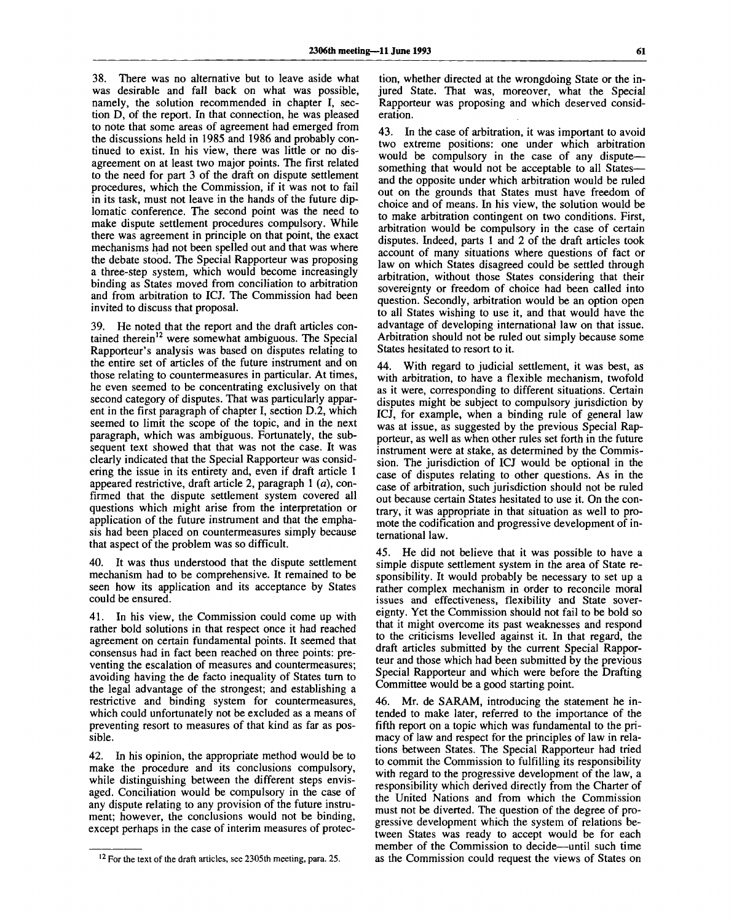38. There was no alternative but to leave aside what was desirable and fall back on what was possible, namely, the solution recommended in chapter I, section D, of the report. In that connection, he was pleased to note that some areas of agreement had emerged from the discussions held in 1985 and 1986 and probably continued to exist. In his view, there was little or no disagreement on at least two major points. The first related to the need for part 3 of the draft on dispute settlement procedures, which the Commission, if it was not to fail in its task, must not leave in the hands of the future diplomatic conference. The second point was the need to make dispute settlement procedures compulsory. While there was agreement in principle on that point, the exact mechanisms had not been spelled out and that was where the debate stood. The Special Rapporteur was proposing a three-step system, which would become increasingly binding as States moved from conciliation to arbitration and from arbitration to ICJ. The Commission had been invited to discuss that proposal.

39. He noted that the report and the draft articles contained therein<sup>12</sup> were somewhat ambiguous. The Special Rapporteur's analysis was based on disputes relating to the entire set of articles of the future instrument and on those relating to countermeasures in particular. At times, he even seemed to be concentrating exclusively on that second category of disputes. That was particularly apparent in the first paragraph of chapter I, section D.2, which seemed to limit the scope of the topic, and in the next paragraph, which was ambiguous. Fortunately, the subsequent text showed that that was not the case. It was clearly indicated that the Special Rapporteur was considering the issue in its entirety and, even if draft article 1 appeared restrictive, draft article 2, paragraph 1 (a), confirmed that the dispute settlement system covered all questions which might arise from the interpretation or application of the future instrument and that the emphasis had been placed on countermeasures simply because that aspect of the problem was so difficult.

40. It was thus understood that the dispute settlement mechanism had to be comprehensive. It remained to be seen how its application and its acceptance by States could be ensured.

41. In his view, the Commission could come up with rather bold solutions in that respect once it had reached agreement on certain fundamental points. It seemed that consensus had in fact been reached on three points: preventing the escalation of measures and countermeasures; avoiding having the de facto inequality of States turn to the legal advantage of the strongest; and establishing a restrictive and binding system for countermeasures, which could unfortunately not be excluded as a means of preventing resort to measures of that kind as far as possible.

42. In his opinion, the appropriate method would be to make the procedure and its conclusions compulsory, while distinguishing between the different steps envisaged. Conciliation would be compulsory in the case of any dispute relating to any provision of the future instrument; however, the conclusions would not be binding, except perhaps in the case of interim measures of protection, whether directed at the wrongdoing State or the injured State. That was, moreover, what the Special Rapporteur was proposing and which deserved consideration.

43. In the case of arbitration, it was important to avoid two extreme positions: one under which arbitration would be compulsory in the case of any dispute something that would not be acceptable to all States and the opposite under which arbitration would be ruled out on the grounds that States must have freedom of choice and of means. In his view, the solution would be to make arbitration contingent on two conditions. First, arbitration would be compulsory in the case of certain disputes. Indeed, parts 1 and 2 of the draft articles took account of many situations where questions of fact or law on which States disagreed could be settled through arbitration, without those States considering that their sovereignty or freedom of choice had been called into question. Secondly, arbitration would be an option open to all States wishing to use it, and that would have the advantage of developing international law on that issue. Arbitration should not be ruled out simply because some States hesitated to resort to it.

44. With regard to judicial settlement, it was best, as with arbitration, to have a flexible mechanism, twofold as it were, corresponding to different situations. Certain disputes might be subject to compulsory jurisdiction by ICJ, for example, when a binding rule of general law was at issue, as suggested by the previous Special Rapporteur, as well as when other rules set forth in the future instrument were at stake, as determined by the Commission. The jurisdiction of ICJ would be optional in the case of disputes relating to other questions. As in the case of arbitration, such jurisdiction should not be ruled out because certain States hesitated to use it. On the contrary, it was appropriate in that situation as well to promote the codification and progressive development of international law.

45. He did not believe that it was possible to have a simple dispute settlement system in the area of State responsibility. It would probably be necessary to set up a rather complex mechanism in order to reconcile moral issues and effectiveness, flexibility and State sovereignty. Yet the Commission should not fail to be bold so that it might overcome its past weaknesses and respond to the criticisms levelled against it. In that regard, the draft articles submitted by the current Special Rapporteur and those which had been submitted by the previous Special Rapporteur and which were before the Drafting Committee would be a good starting point.

46. Mr. de SARAM, introducing the statement he intended to make later, referred to the importance of the fifth report on a topic which was fundamental to the primacy of law and respect for the principles of law in relations between States. The Special Rapporteur had tried to commit the Commission to fulfilling its responsibility with regard to the progressive development of the law, a responsibility which derived directly from the Charter of the United Nations and from which the Commission must not be diverted. The question of the degree of progressive development which the system of relations between States was ready to accept would be for each member of the Commission to decide—until such time as the Commission could request the views of States on

<sup>&</sup>lt;sup>12</sup> For the text of the draft articles, see 2305th meeting, para. 25.